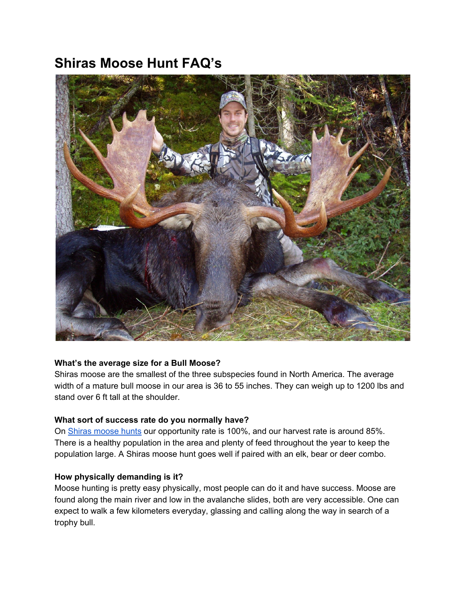# **Shiras Moose Hunt FAQ's**



## **What's the average size for a Bull Moose?**

Shiras moose are the smallest of the three subspecies found in North America. The average width of a mature bull moose in our area is 36 to 55 inches. They can weigh up to 1200 lbs and stand over 6 ft tall at the shoulder.

### **What sort of success rate do you normally have?**

On Shiras [moose](http://toaltd.com/project/shiras-moose/) hunts our opportunity rate is 100%, and our harvest rate is around 85%. There is a healthy population in the area and plenty of feed throughout the year to keep the population large. A Shiras moose hunt goes well if paired with an elk, bear or deer combo.

### **How physically demanding is it?**

Moose hunting is pretty easy physically, most people can do it and have success. Moose are found along the main river and low in the avalanche slides, both are very accessible. One can expect to walk a few kilometers everyday, glassing and calling along the way in search of a trophy bull.